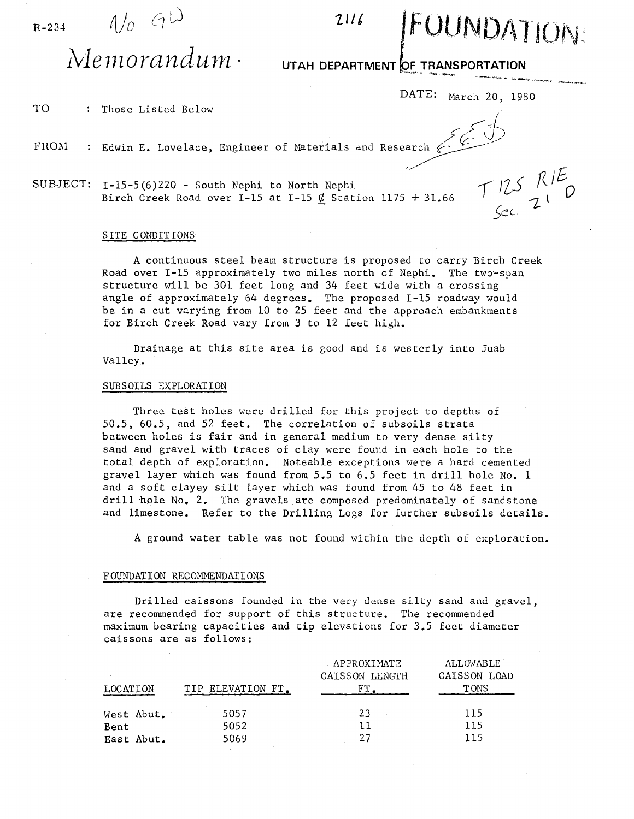R-234  $N_0$   $\epsilon_1$   $\omega$  2116



'" -.... .. ""-...... "-'~~ ..

*)CL* 

# $M$ emorandum·

## DEPARTMENT OF TRANSPORTATION

DATE: March 20, 1980

TO : Those Listed Below

- FROM rnose Listed Below<br>Edwin E. Lovelace, Engineer of Materials and Research  $\leftarrow$
- SUBJECT: 1-15-5(6)220 South Nephi to North Nephi Birch Creek Road over I-15 at I-15  $\cancel{d}$  Station 1175 + 31.66  $\tau$  125  $R$ <sup>1</sup> 1175 + 31.66 <sup>1</sup> <sup>1</sup> <sup>1</sup> <sup>1</sup> <sup>1</sup> <sup>1</sup> <sup>1</sup> <sup>1</sup> **0**

#### SITE CONDITIONS

A continuous steel beam structure is proposed to carry Birch Creek Road over I-15 approximately two miles north of Nephi. The two-span structure will be 301 feet long and 34 feet wide with a crossing angle of approximately 64 degrees. The proposed 1-15 roadway would be in a cut varying from 10 to 25 feet and the approach embankments for Birch Creek Road vary from 3 to 12 feet high.

Drainage at this site area is good and is westerly into Juab valley.

#### SUBSOILS EXPLORATION

Three test holes were drilled for this project to depths of 50.5, 60.5, and 52 feet. The correlation of subsoils strata between holes is fair and in general medium to very dense silty sand and gravel with traces of clay were found in each hole to the total depth of exploration. Noteable exceptions were a hard cemented gravel layer which was found from 5.5 to 6.5 feet in drill hole No. 1 and a soft clayey silt layer which was found from 45 to 48 feet in drill hole No. 2. The gravels are composed predominately of sandstone and limestone. Refer to the Drilling Logs for further subsoils details.

A ground water table was not found within the depth of exploration.

### FOUNDATION RECOMMENDATIONS

Drilled caissons founded in the very dense silty sand and gravel, are recommended for support of this structure. The recommended maximum bearing capacities and tip elevations for 3.5 feet diameter caissons are as follows:

|            |                   | APPROXIMATE<br><b>CAISSON LENGTH</b> | <b>ALLOWABLE</b><br>CAISSON LOAD |
|------------|-------------------|--------------------------------------|----------------------------------|
| LOCATION   | TIP ELEVATION FT. |                                      | T ONS                            |
| West Abut. | 5057              | 23                                   | 115                              |
| Bent       | 5052              | 11                                   | 115                              |
| East Abut. | 5069              | 27                                   | 115                              |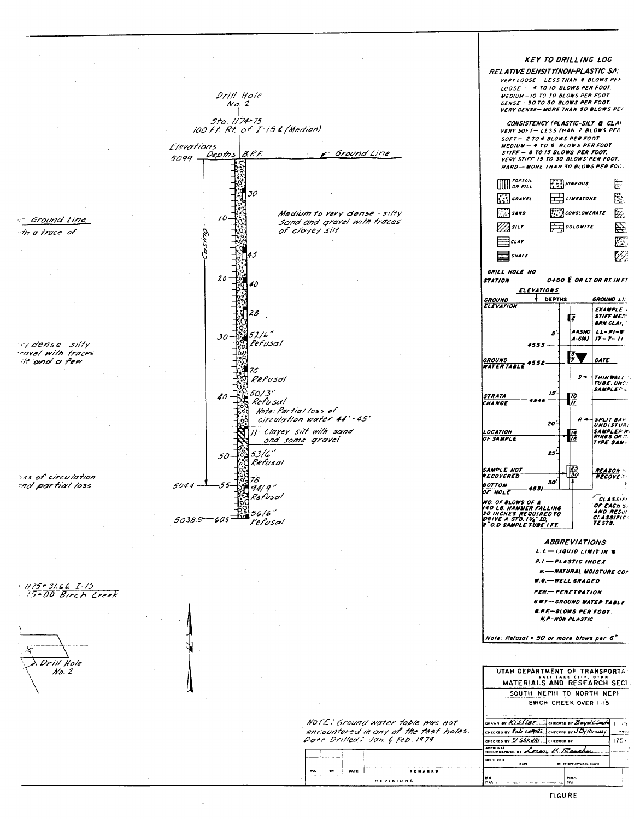